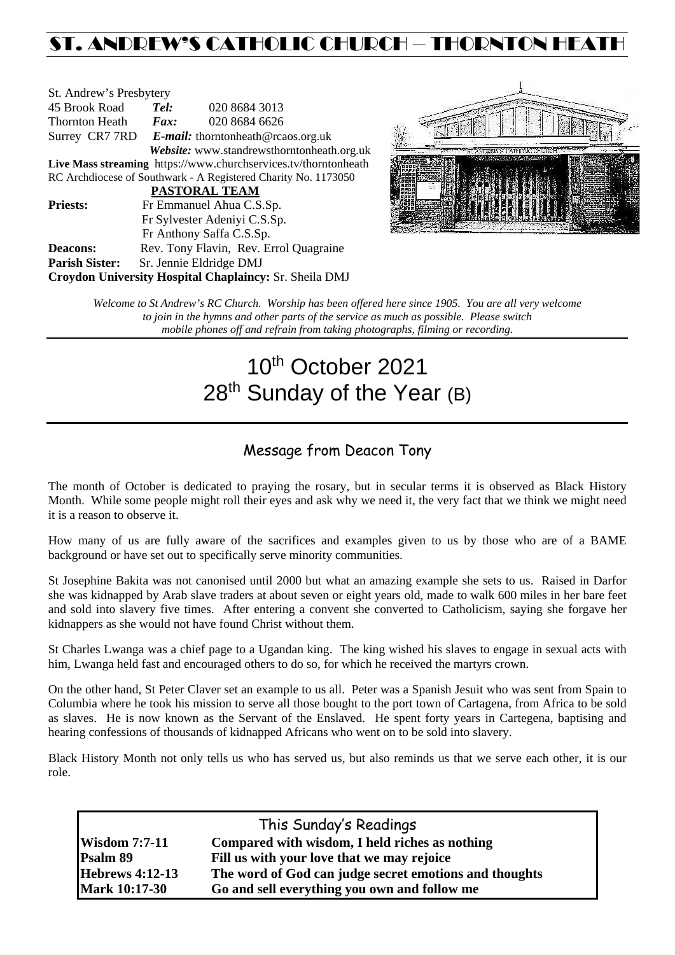## ST. ANDREW'S CATHOLIC CHURCH – THORNTON HEATH

| St. Andrew's Presbytery                                         |                                                   |                                        |  |  |  |
|-----------------------------------------------------------------|---------------------------------------------------|----------------------------------------|--|--|--|
| 45 Brook Road                                                   | Tel:                                              | 020 8684 3013                          |  |  |  |
| Thornton Heath                                                  | $\boldsymbol{F}$ <i>ax</i> :                      | 020 8684 6626                          |  |  |  |
|                                                                 | Surrey CR7 7RD E-mail: thorntonheath@rcaos.org.uk |                                        |  |  |  |
| Website: www.standrewsthorntonheath.org.uk                      |                                                   |                                        |  |  |  |
| Live Mass streaming https://www.churchservices.tv/thorntonheath |                                                   |                                        |  |  |  |
| RC Archdiocese of Southwark - A Registered Charity No. 1173050  |                                                   |                                        |  |  |  |
| <b>PASTORAL TEAM</b>                                            |                                                   |                                        |  |  |  |
| <b>Priests:</b>                                                 | Fr Emmanuel Ahua C.S.Sp.                          |                                        |  |  |  |
| Fr Sylvester Adeniyi C.S.Sp.                                    |                                                   |                                        |  |  |  |
|                                                                 |                                                   | Fr Anthony Saffa C.S.Sp.               |  |  |  |
| Deacons:                                                        |                                                   | Rev. Tony Flavin, Rev. Errol Quagraine |  |  |  |
| <b>Parish Sister:</b>                                           |                                                   | Sr. Jennie Eldridge DMJ                |  |  |  |
| Croydon University Hospital Chaplaincy: Sr. Sheila DMJ          |                                                   |                                        |  |  |  |



*Welcome to St Andrew's RC Church. Worship has been offered here since 1905. You are all very welcome to join in the hymns and other parts of the service as much as possible. Please switch mobile phones off and refrain from taking photographs, filming or recording.*

# 10th October 2021 28<sup>th</sup> Sunday of the Year (B)

## Message from Deacon Tony

The month of October is dedicated to praying the rosary, but in secular terms it is observed as Black History Month. While some people might roll their eyes and ask why we need it, the very fact that we think we might need it is a reason to observe it.

How many of us are fully aware of the sacrifices and examples given to us by those who are of a BAME background or have set out to specifically serve minority communities.

St Josephine Bakita was not canonised until 2000 but what an amazing example she sets to us. Raised in Darfor she was kidnapped by Arab slave traders at about seven or eight years old, made to walk 600 miles in her bare feet and sold into slavery five times. After entering a convent she converted to Catholicism, saying she forgave her kidnappers as she would not have found Christ without them.

St Charles Lwanga was a chief page to a Ugandan king. The king wished his slaves to engage in sexual acts with him, Lwanga held fast and encouraged others to do so, for which he received the martyrs crown.

On the other hand, St Peter Claver set an example to us all. Peter was a Spanish Jesuit who was sent from Spain to Columbia where he took his mission to serve all those bought to the port town of Cartagena, from Africa to be sold as slaves. He is now known as the Servant of the Enslaved. He spent forty years in Cartegena, baptising and hearing confessions of thousands of kidnapped Africans who went on to be sold into slavery.

Black History Month not only tells us who has served us, but also reminds us that we serve each other, it is our role.

| This Sunday's Readings |                                                        |  |  |  |
|------------------------|--------------------------------------------------------|--|--|--|
| <b>Wisdom 7:7-11</b>   | Compared with wisdom, I held riches as nothing         |  |  |  |
| Psalm 89               | Fill us with your love that we may rejoice             |  |  |  |
| <b>Hebrews 4:12-13</b> | The word of God can judge secret emotions and thoughts |  |  |  |
| <b>Mark 10:17-30</b>   | Go and sell everything you own and follow me           |  |  |  |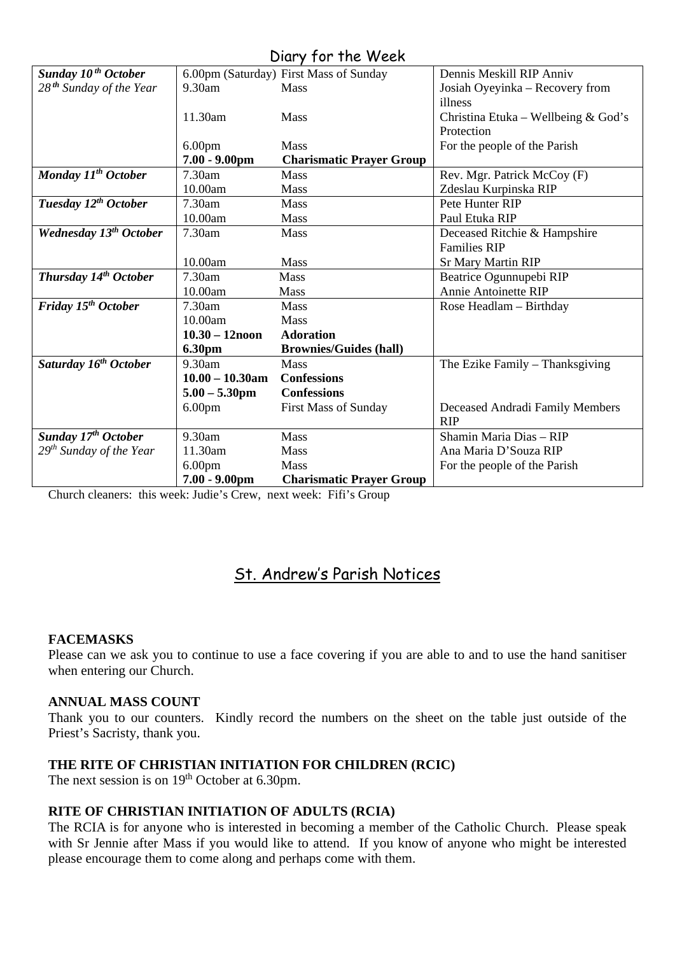## Diary for the Week

|                                     |                    | 5.4                                    |                                     |
|-------------------------------------|--------------------|----------------------------------------|-------------------------------------|
| Sunday 10 <sup>th</sup> October     |                    | 6.00pm (Saturday) First Mass of Sunday | Dennis Meskill RIP Anniv            |
| 28 <sup>th</sup> Sunday of the Year | 9.30am             | <b>Mass</b>                            | Josiah Oyeyinka - Recovery from     |
|                                     |                    |                                        | illness                             |
|                                     | 11.30am            | Mass                                   | Christina Etuka - Wellbeing & God's |
|                                     |                    |                                        | Protection                          |
|                                     | 6.00 <sub>pm</sub> | <b>Mass</b>                            | For the people of the Parish        |
|                                     | $7.00 - 9.00$ pm   | <b>Charismatic Prayer Group</b>        |                                     |
| Monday 11 <sup>th</sup> October     | 7.30am             | <b>Mass</b>                            | Rev. Mgr. Patrick McCoy (F)         |
|                                     | 10.00am            | <b>Mass</b>                            | Zdeslau Kurpinska RIP               |
| Tuesday 12 <sup>th</sup> October    | 7.30am             | <b>Mass</b>                            | Pete Hunter RIP                     |
|                                     | 10.00am            | Mass                                   | Paul Etuka RIP                      |
| <b>Wednesday 13th October</b>       | 7.30am             | <b>Mass</b>                            | Deceased Ritchie & Hampshire        |
|                                     |                    |                                        | <b>Families RIP</b>                 |
|                                     | 10.00am            | <b>Mass</b>                            | <b>Sr Mary Martin RIP</b>           |
| Thursday 14 <sup>th</sup> October   | 7.30am             | <b>Mass</b>                            | Beatrice Ogunnupebi RIP             |
|                                     | 10.00am            | Mass                                   | <b>Annie Antoinette RIP</b>         |
| Friday 15 <sup>th</sup> October     | 7.30am             | Mass                                   | Rose Headlam - Birthday             |
|                                     | 10.00am            | Mass                                   |                                     |
|                                     | $10.30 - 12$ noon  | <b>Adoration</b>                       |                                     |
|                                     | <b>6.30pm</b>      | <b>Brownies/Guides (hall)</b>          |                                     |
| Saturday 16 <sup>th</sup> October   | 9.30am             | <b>Mass</b>                            | The Ezike Family – Thanksgiving     |
|                                     | $10.00 - 10.30$ am | <b>Confessions</b>                     |                                     |
|                                     | $5.00 - 5.30$ pm   | <b>Confessions</b>                     |                                     |
|                                     | 6.00 <sub>pm</sub> | <b>First Mass of Sunday</b>            | Deceased Andradi Family Members     |
|                                     |                    |                                        | <b>RIP</b>                          |
| Sunday 17 <sup>th</sup> October     | 9.30am             | <b>Mass</b>                            | Shamin Maria Dias - RIP             |
| $29th$ Sunday of the Year           | 11.30am            | <b>Mass</b>                            | Ana Maria D'Souza RIP               |
|                                     | 6.00 <sub>pm</sub> | Mass                                   | For the people of the Parish        |
|                                     | $7.00 - 9.00$ pm   | <b>Charismatic Prayer Group</b>        |                                     |

Church cleaners: this week: Judie's Crew, next week: Fifi's Group

## St. Andrew's Parish Notices

#### **FACEMASKS**

Please can we ask you to continue to use a face covering if you are able to and to use the hand sanitiser when entering our Church.

#### **ANNUAL MASS COUNT**

Thank you to our counters. Kindly record the numbers on the sheet on the table just outside of the Priest's Sacristy, thank you.

#### **THE RITE OF CHRISTIAN INITIATION FOR CHILDREN (RCIC)**

The next session is on 19<sup>th</sup> October at 6.30pm.

#### **RITE OF CHRISTIAN INITIATION OF ADULTS (RCIA)**

The RCIA is for anyone who is interested in becoming a member of the Catholic Church. Please speak with Sr Jennie after Mass if you would like to attend. If you know of anyone who might be interested please encourage them to come along and perhaps come with them.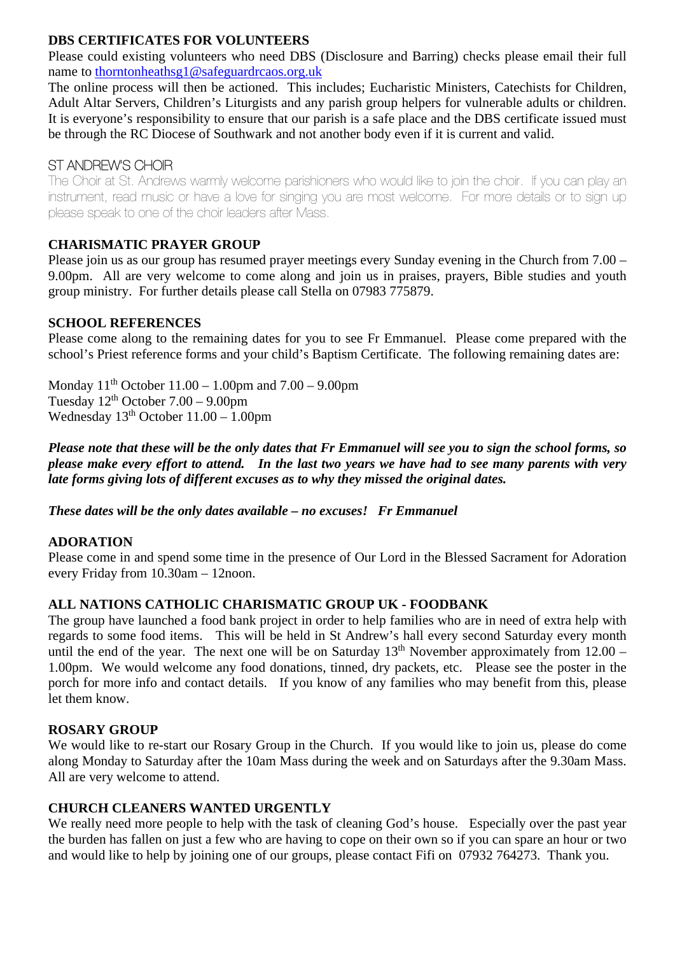#### **DBS CERTIFICATES FOR VOLUNTEERS**

Please could existing volunteers who need DBS (Disclosure and Barring) checks please email their full name to [thorntonheathsg1@safeguardrcaos.org.uk](mailto:thorntonheathsg1@safeguardrcaos.org.uk)

The online process will then be actioned. This includes; Eucharistic Ministers, Catechists for Children, Adult Altar Servers, Children's Liturgists and any parish group helpers for vulnerable adults or children. It is everyone's responsibility to ensure that our parish is a safe place and the DBS certificate issued must be through the RC Diocese of Southwark and not another body even if it is current and valid.

### ST ANDREW'S CHOIR

The Choir at St. Andrews warmly welcome parishioners who would like to join the choir. If you can play an instrument, read music or have a love for singing you are most welcome. For more details or to sign up please speak to one of the choir leaders after Mass.

#### **CHARISMATIC PRAYER GROUP**

Please join us as our group has resumed prayer meetings every Sunday evening in the Church from 7.00 – 9.00pm. All are very welcome to come along and join us in praises, prayers, Bible studies and youth group ministry. For further details please call Stella on 07983 775879.

#### **SCHOOL REFERENCES**

Please come along to the remaining dates for you to see Fr Emmanuel. Please come prepared with the school's Priest reference forms and your child's Baptism Certificate. The following remaining dates are:

Monday  $11^{th}$  October  $11.00 - 1.00$  pm and  $7.00 - 9.00$  pm Tuesday  $12<sup>th</sup>$  October  $7.00 - 9.00$ pm Wednesday  $13<sup>th</sup>$  October  $11.00 - 1.00$ pm

*Please note that these will be the only dates that Fr Emmanuel will see you to sign the school forms, so please make every effort to attend. In the last two years we have had to see many parents with very late forms giving lots of different excuses as to why they missed the original dates.* 

*These dates will be the only dates available – no excuses! Fr Emmanuel*

#### **ADORATION**

Please come in and spend some time in the presence of Our Lord in the Blessed Sacrament for Adoration every Friday from 10.30am – 12noon.

#### **ALL NATIONS CATHOLIC CHARISMATIC GROUP UK - FOODBANK**

The group have launched a food bank project in order to help families who are in need of extra help with regards to some food items. This will be held in St Andrew's hall every second Saturday every month until the end of the year. The next one will be on Saturday  $13<sup>th</sup>$  November approximately from  $12.00 -$ 1.00pm. We would welcome any food donations, tinned, dry packets, etc. Please see the poster in the porch for more info and contact details. If you know of any families who may benefit from this, please let them know.

#### **ROSARY GROUP**

We would like to re-start our Rosary Group in the Church. If you would like to join us, please do come along Monday to Saturday after the 10am Mass during the week and on Saturdays after the 9.30am Mass. All are very welcome to attend.

#### **CHURCH CLEANERS WANTED URGENTLY**

We really need more people to help with the task of cleaning God's house. Especially over the past year the burden has fallen on just a few who are having to cope on their own so if you can spare an hour or two and would like to help by joining one of our groups, please contact Fifi on 07932 764273. Thank you.